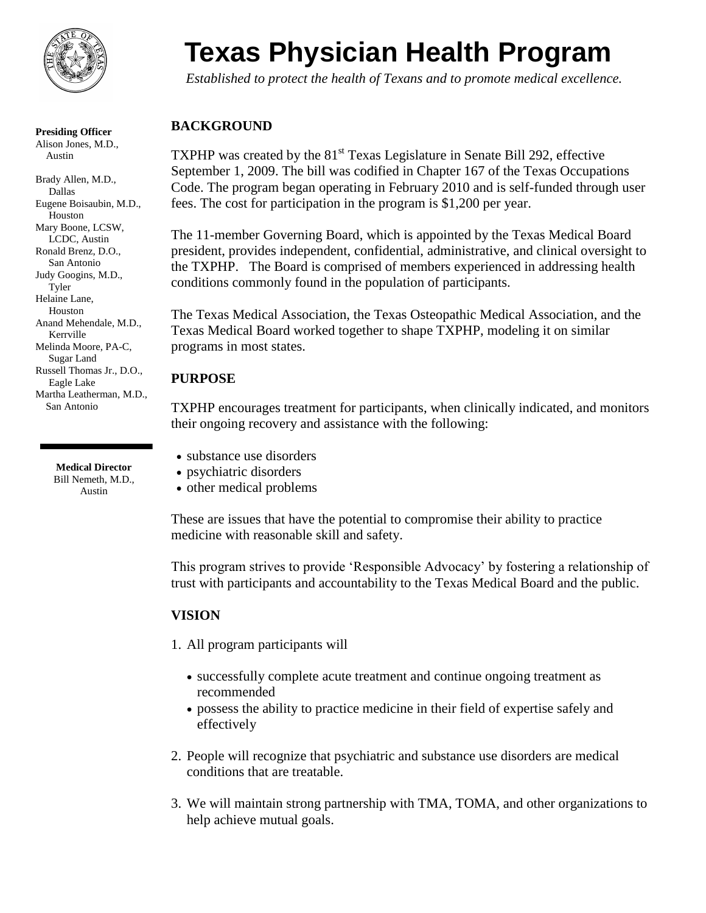

**Presiding Officer** Alison Jones, M.D., Austin

Brady Allen, M.D., Dallas Eugene Boisaubin, M.D., Houston Mary Boone, LCSW, LCDC, Austin Ronald Brenz, D.O., San Antonio Judy Googins, M.D., Tyler Helaine Lane, Houston Anand Mehendale, M.D., Kerrville Melinda Moore, PA-C, Sugar Land Russell Thomas Jr., D.O., Eagle Lake Martha Leatherman, M.D., San Antonio

> **Medical Director** Bill Nemeth, M.D., Austin

# **Texas Physician Health Program**

*Established to protect the health of Texans and to promote medical excellence.*

## **BACKGROUND**

TXPHP was created by the  $81<sup>st</sup>$  Texas Legislature in Senate Bill 292, effective September 1, 2009. The bill was codified in Chapter 167 of the Texas Occupations Code. The program began operating in February 2010 and is self-funded through user fees. The cost for participation in the program is \$1,200 per year.

The 11-member Governing Board, which is appointed by the Texas Medical Board president, provides independent, confidential, administrative, and clinical oversight to the TXPHP. The Board is comprised of members experienced in addressing health conditions commonly found in the population of participants.

The Texas Medical Association, the Texas Osteopathic Medical Association, and the Texas Medical Board worked together to shape TXPHP, modeling it on similar programs in most states.

#### **PURPOSE**

TXPHP encourages treatment for participants, when clinically indicated, and monitors their ongoing recovery and assistance with the following:

substance use disorders

- psychiatric disorders
- other medical problems

These are issues that have the potential to compromise their ability to practice medicine with reasonable skill and safety.

This program strives to provide 'Responsible Advocacy' by fostering a relationship of trust with participants and accountability to the Texas Medical Board and the public.

#### **VISION**

1. All program participants will

- successfully complete acute treatment and continue ongoing treatment as recommended
- possess the ability to practice medicine in their field of expertise safely and effectively
- 2. People will recognize that psychiatric and substance use disorders are medical conditions that are treatable.
- 3. We will maintain strong partnership with TMA, TOMA, and other organizations to help achieve mutual goals.